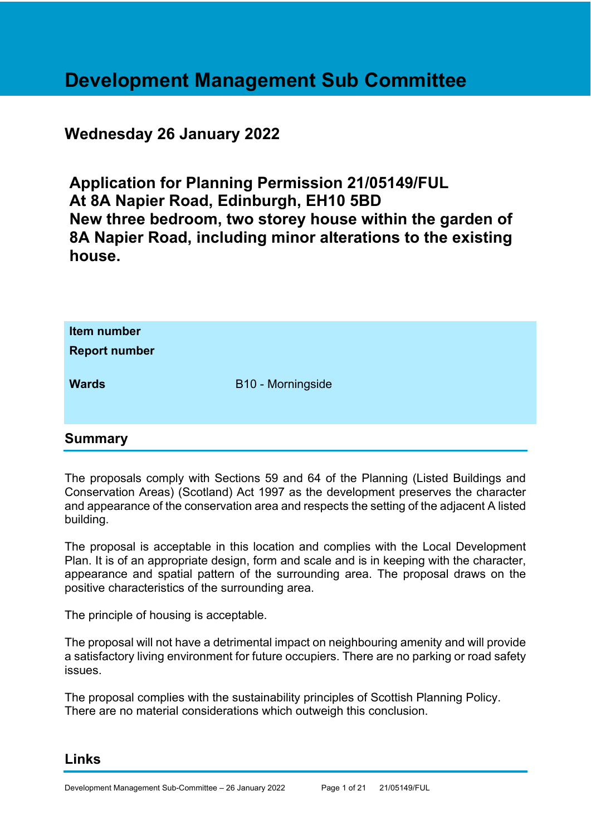# **Development Management Sub Committee**

# **Wednesday 26 January 2022**

**Application for Planning Permission 21/05149/FUL At 8A Napier Road, Edinburgh, EH10 5BD New three bedroom, two storey house within the garden of 8A Napier Road, including minor alterations to the existing house.** 

| Item number<br><b>Report number</b> |                          |
|-------------------------------------|--------------------------|
| <b>Wards</b>                        | <b>B10 - Morningside</b> |

# **Summary**

The proposals comply with Sections 59 and 64 of the Planning (Listed Buildings and Conservation Areas) (Scotland) Act 1997 as the development preserves the character and appearance of the conservation area and respects the setting of the adjacent A listed building.

The proposal is acceptable in this location and complies with the Local Development Plan. It is of an appropriate design, form and scale and is in keeping with the character, appearance and spatial pattern of the surrounding area. The proposal draws on the positive characteristics of the surrounding area.

The principle of housing is acceptable.

The proposal will not have a detrimental impact on neighbouring amenity and will provide a satisfactory living environment for future occupiers. There are no parking or road safety issues.

The proposal complies with the sustainability principles of Scottish Planning Policy. There are no material considerations which outweigh this conclusion.

# **Links**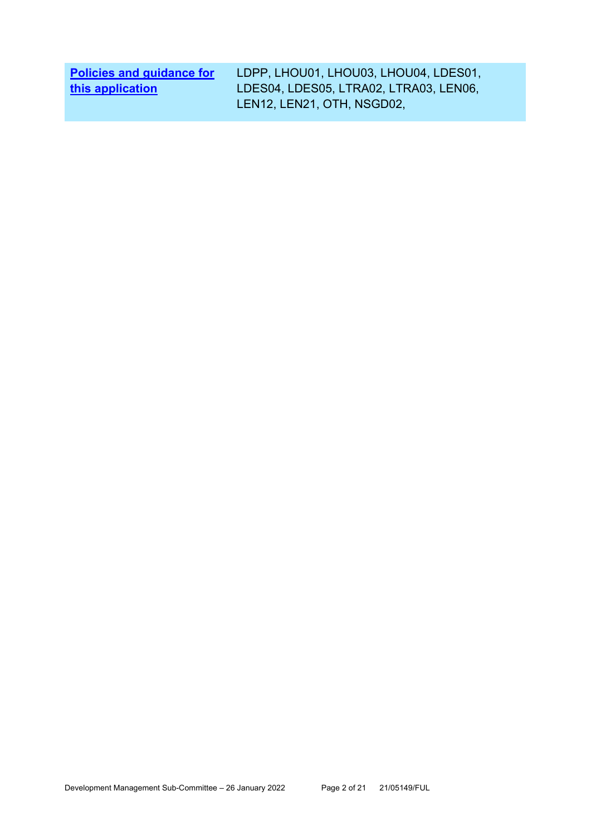| <b>Policies and guidance for</b> | LDPP, LHOU01, LHOU03, LHOU04, LDES01,  |
|----------------------------------|----------------------------------------|
| this application                 | LDES04, LDES05, LTRA02, LTRA03, LEN06, |
|                                  | LEN12, LEN21, OTH, NSGD02,             |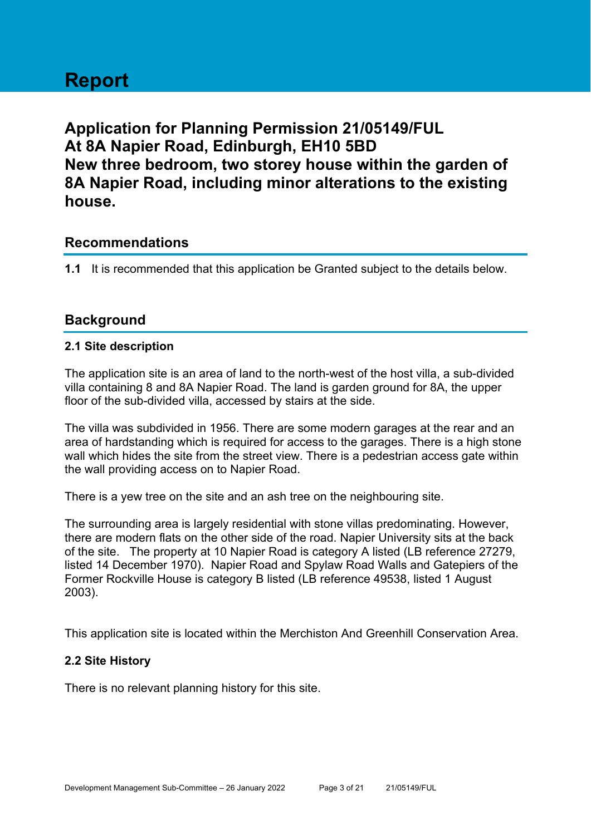# **Report**

**Application for Planning Permission 21/05149/FUL At 8A Napier Road, Edinburgh, EH10 5BD New three bedroom, two storey house within the garden of 8A Napier Road, including minor alterations to the existing house.** 

# **Recommendations**

**1.1** It is recommended that this application be Granted subject to the details below.

# **Background**

#### **2.1 Site description**

The application site is an area of land to the north-west of the host villa, a sub-divided villa containing 8 and 8A Napier Road. The land is garden ground for 8A, the upper floor of the sub-divided villa, accessed by stairs at the side.

The villa was subdivided in 1956. There are some modern garages at the rear and an area of hardstanding which is required for access to the garages. There is a high stone wall which hides the site from the street view. There is a pedestrian access gate within the wall providing access on to Napier Road.

There is a yew tree on the site and an ash tree on the neighbouring site.

The surrounding area is largely residential with stone villas predominating. However, there are modern flats on the other side of the road. Napier University sits at the back of the site. The property at 10 Napier Road is category A listed (LB reference 27279, listed 14 December 1970). Napier Road and Spylaw Road Walls and Gatepiers of the Former Rockville House is category B listed (LB reference 49538, listed 1 August 2003).

This application site is located within the Merchiston And Greenhill Conservation Area.

# **2.2 Site History**

There is no relevant planning history for this site.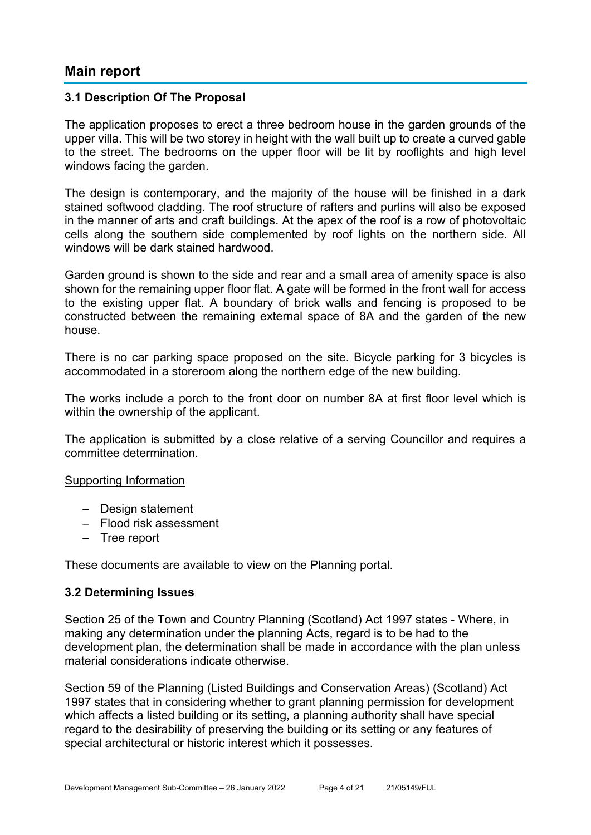# **Main report**

#### **3.1 Description Of The Proposal**

The application proposes to erect a three bedroom house in the garden grounds of the upper villa. This will be two storey in height with the wall built up to create a curved gable to the street. The bedrooms on the upper floor will be lit by rooflights and high level windows facing the garden.

The design is contemporary, and the majority of the house will be finished in a dark stained softwood cladding. The roof structure of rafters and purlins will also be exposed in the manner of arts and craft buildings. At the apex of the roof is a row of photovoltaic cells along the southern side complemented by roof lights on the northern side. All windows will be dark stained hardwood.

Garden ground is shown to the side and rear and a small area of amenity space is also shown for the remaining upper floor flat. A gate will be formed in the front wall for access to the existing upper flat. A boundary of brick walls and fencing is proposed to be constructed between the remaining external space of 8A and the garden of the new house.

There is no car parking space proposed on the site. Bicycle parking for 3 bicycles is accommodated in a storeroom along the northern edge of the new building.

The works include a porch to the front door on number 8A at first floor level which is within the ownership of the applicant.

The application is submitted by a close relative of a serving Councillor and requires a committee determination.

#### Supporting Information

- Design statement
- Flood risk assessment
- Tree report

These documents are available to view on the Planning portal.

#### **3.2 Determining Issues**

Section 25 of the Town and Country Planning (Scotland) Act 1997 states - Where, in making any determination under the planning Acts, regard is to be had to the development plan, the determination shall be made in accordance with the plan unless material considerations indicate otherwise.

Section 59 of the Planning (Listed Buildings and Conservation Areas) (Scotland) Act 1997 states that in considering whether to grant planning permission for development which affects a listed building or its setting, a planning authority shall have special regard to the desirability of preserving the building or its setting or any features of special architectural or historic interest which it possesses.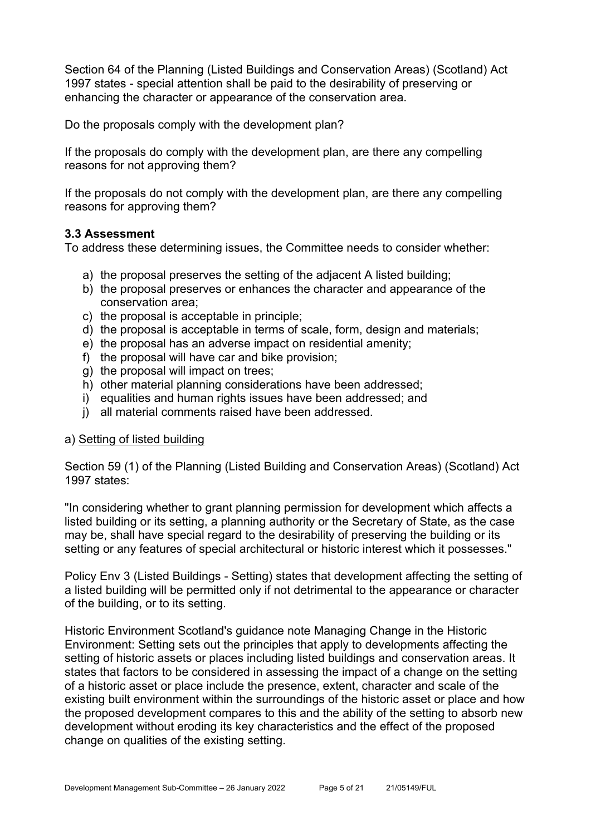Section 64 of the Planning (Listed Buildings and Conservation Areas) (Scotland) Act 1997 states - special attention shall be paid to the desirability of preserving or enhancing the character or appearance of the conservation area.

Do the proposals comply with the development plan?

If the proposals do comply with the development plan, are there any compelling reasons for not approving them?

If the proposals do not comply with the development plan, are there any compelling reasons for approving them?

#### **3.3 Assessment**

To address these determining issues, the Committee needs to consider whether:

- a) the proposal preserves the setting of the adjacent A listed building;
- b) the proposal preserves or enhances the character and appearance of the conservation area;
- c) the proposal is acceptable in principle;
- d) the proposal is acceptable in terms of scale, form, design and materials;
- e) the proposal has an adverse impact on residential amenity;
- f) the proposal will have car and bike provision;
- g) the proposal will impact on trees;
- h) other material planning considerations have been addressed;
- i) equalities and human rights issues have been addressed; and
- j) all material comments raised have been addressed.

#### a) Setting of listed building

Section 59 (1) of the Planning (Listed Building and Conservation Areas) (Scotland) Act 1997 states:

"In considering whether to grant planning permission for development which affects a listed building or its setting, a planning authority or the Secretary of State, as the case may be, shall have special regard to the desirability of preserving the building or its setting or any features of special architectural or historic interest which it possesses."

Policy Env 3 (Listed Buildings - Setting) states that development affecting the setting of a listed building will be permitted only if not detrimental to the appearance or character of the building, or to its setting.

Historic Environment Scotland's guidance note Managing Change in the Historic Environment: Setting sets out the principles that apply to developments affecting the setting of historic assets or places including listed buildings and conservation areas. It states that factors to be considered in assessing the impact of a change on the setting of a historic asset or place include the presence, extent, character and scale of the existing built environment within the surroundings of the historic asset or place and how the proposed development compares to this and the ability of the setting to absorb new development without eroding its key characteristics and the effect of the proposed change on qualities of the existing setting.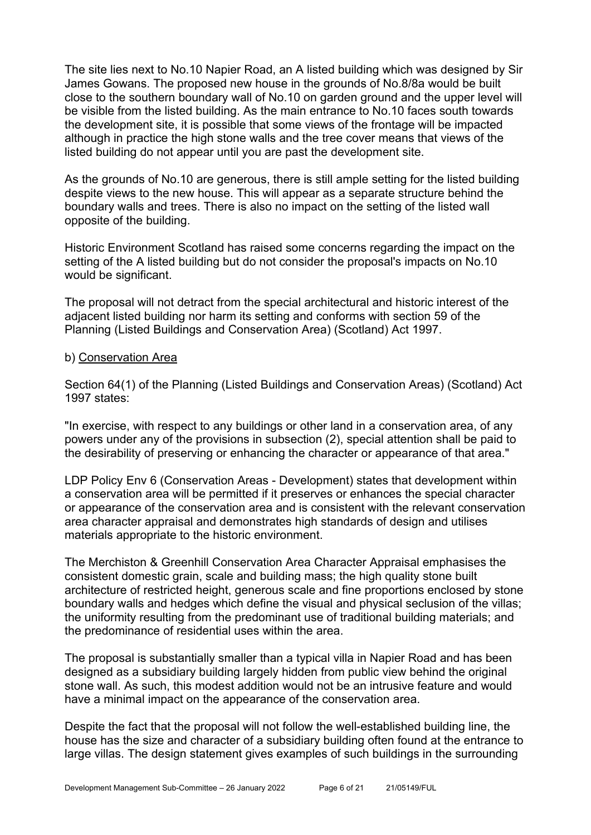The site lies next to No.10 Napier Road, an A listed building which was designed by Sir James Gowans. The proposed new house in the grounds of No.8/8a would be built close to the southern boundary wall of No.10 on garden ground and the upper level will be visible from the listed building. As the main entrance to No.10 faces south towards the development site, it is possible that some views of the frontage will be impacted although in practice the high stone walls and the tree cover means that views of the listed building do not appear until you are past the development site.

As the grounds of No.10 are generous, there is still ample setting for the listed building despite views to the new house. This will appear as a separate structure behind the boundary walls and trees. There is also no impact on the setting of the listed wall opposite of the building.

Historic Environment Scotland has raised some concerns regarding the impact on the setting of the A listed building but do not consider the proposal's impacts on No.10 would be significant.

The proposal will not detract from the special architectural and historic interest of the adjacent listed building nor harm its setting and conforms with section 59 of the Planning (Listed Buildings and Conservation Area) (Scotland) Act 1997.

#### b) Conservation Area

Section 64(1) of the Planning (Listed Buildings and Conservation Areas) (Scotland) Act 1997 states:

"In exercise, with respect to any buildings or other land in a conservation area, of any powers under any of the provisions in subsection (2), special attention shall be paid to the desirability of preserving or enhancing the character or appearance of that area."

LDP Policy Env 6 (Conservation Areas - Development) states that development within a conservation area will be permitted if it preserves or enhances the special character or appearance of the conservation area and is consistent with the relevant conservation area character appraisal and demonstrates high standards of design and utilises materials appropriate to the historic environment.

The Merchiston & Greenhill Conservation Area Character Appraisal emphasises the consistent domestic grain, scale and building mass; the high quality stone built architecture of restricted height, generous scale and fine proportions enclosed by stone boundary walls and hedges which define the visual and physical seclusion of the villas; the uniformity resulting from the predominant use of traditional building materials; and the predominance of residential uses within the area.

The proposal is substantially smaller than a typical villa in Napier Road and has been designed as a subsidiary building largely hidden from public view behind the original stone wall. As such, this modest addition would not be an intrusive feature and would have a minimal impact on the appearance of the conservation area.

Despite the fact that the proposal will not follow the well-established building line, the house has the size and character of a subsidiary building often found at the entrance to large villas. The design statement gives examples of such buildings in the surrounding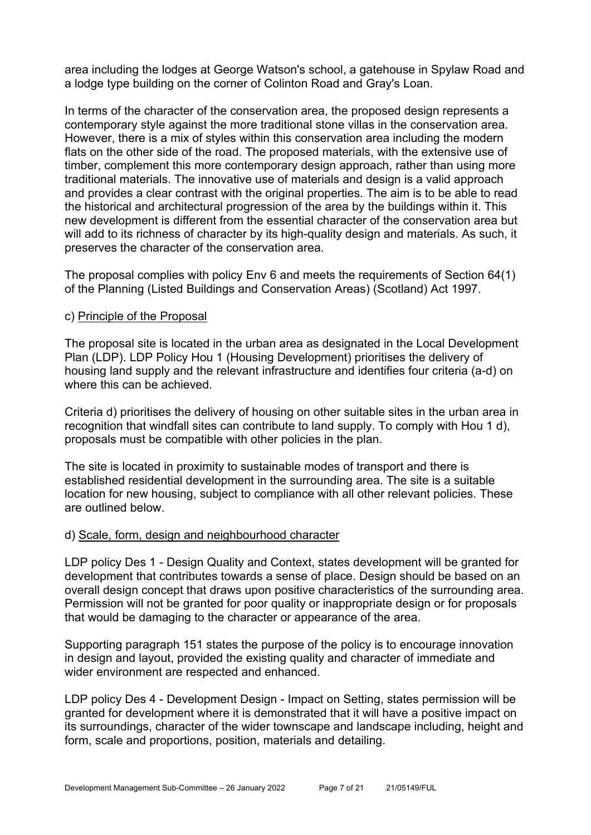area including the lodges at George Watson's school, a gatehouse in Spylaw Road and a lodge type building on the corner of Colinton Road and Gray's Loan.

In terms of the character of the conservation area, the proposed design represents a contemporary style against the more traditional stone villas in the conservation area. However, there is a mix of styles within this conservation area including the modern flats on the other side of the road. The proposed materials, with the extensive use of timber, complement this more contemporary design approach, rather than using more traditional materials. The innovative use of materials and design is a valid approach and provides a clear contrast with the original properties. The aim is to be able to read the historical and architectural progression of the area by the buildings within it. This new development is different from the essential character of the conservation area but will add to its richness of character by its high-quality design and materials. As such, it preserves the character of the conservation area.

The proposal complies with policy Env 6 and meets the requirements of Section 64(1) of the Planning (Listed Buildings and Conservation Areas) (Scotland) Act 1997.

#### c) Principle of the Proposal

The proposal site is located in the urban area as designated in the Local Development Plan (LDP). LDP Policy Hou 1 (Housing Development) prioritises the delivery of housing land supply and the relevant infrastructure and identifies four criteria (a-d) on where this can be achieved.

Criteria d) prioritises the delivery of housing on other suitable sites in the urban area in recognition that windfall sites can contribute to land supply. To comply with Hou 1 d), proposals must be compatible with other policies in the plan.

The site is located in proximity to sustainable modes of transport and there is established residential development in the surrounding area. The site is a suitable location for new housing, subject to compliance with all other relevant policies. These are outlined below.

#### d) Scale, form, design and neighbourhood character

LDP policy Des 1 - Design Quality and Context, states development will be granted for development that contributes towards a sense of place. Design should be based on an overall design concept that draws upon positive characteristics of the surrounding area. Permission will not be granted for poor quality or inappropriate design or for proposals that would be damaging to the character or appearance of the area.

Supporting paragraph 151 states the purpose of the policy is to encourage innovation in design and layout, provided the existing quality and character of immediate and wider environment are respected and enhanced.

LDP policy Des 4 - Development Design - Impact on Setting, states permission will be granted for development where it is demonstrated that it will have a positive impact on its surroundings, character of the wider townscape and landscape including, height and form, scale and proportions, position, materials and detailing.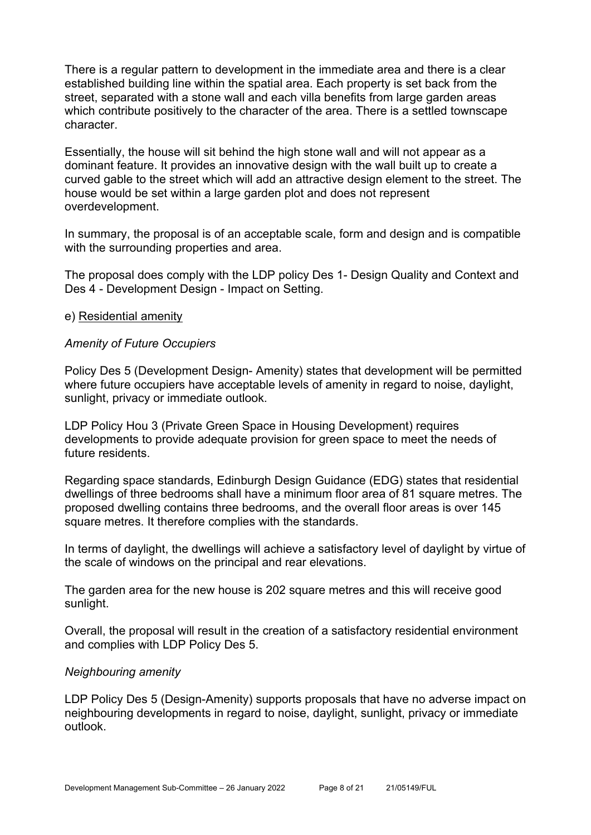There is a regular pattern to development in the immediate area and there is a clear established building line within the spatial area. Each property is set back from the street, separated with a stone wall and each villa benefits from large garden areas which contribute positively to the character of the area. There is a settled townscape character.

Essentially, the house will sit behind the high stone wall and will not appear as a dominant feature. It provides an innovative design with the wall built up to create a curved gable to the street which will add an attractive design element to the street. The house would be set within a large garden plot and does not represent overdevelopment.

In summary, the proposal is of an acceptable scale, form and design and is compatible with the surrounding properties and area.

The proposal does comply with the LDP policy Des 1- Design Quality and Context and Des 4 - Development Design - Impact on Setting.

#### e) Residential amenity

#### *Amenity of Future Occupiers*

Policy Des 5 (Development Design- Amenity) states that development will be permitted where future occupiers have acceptable levels of amenity in regard to noise, daylight, sunlight, privacy or immediate outlook.

LDP Policy Hou 3 (Private Green Space in Housing Development) requires developments to provide adequate provision for green space to meet the needs of future residents

Regarding space standards, Edinburgh Design Guidance (EDG) states that residential dwellings of three bedrooms shall have a minimum floor area of 81 square metres. The proposed dwelling contains three bedrooms, and the overall floor areas is over 145 square metres. It therefore complies with the standards.

In terms of daylight, the dwellings will achieve a satisfactory level of daylight by virtue of the scale of windows on the principal and rear elevations.

The garden area for the new house is 202 square metres and this will receive good sunlight.

Overall, the proposal will result in the creation of a satisfactory residential environment and complies with LDP Policy Des 5.

#### *Neighbouring amenity*

LDP Policy Des 5 (Design-Amenity) supports proposals that have no adverse impact on neighbouring developments in regard to noise, daylight, sunlight, privacy or immediate outlook.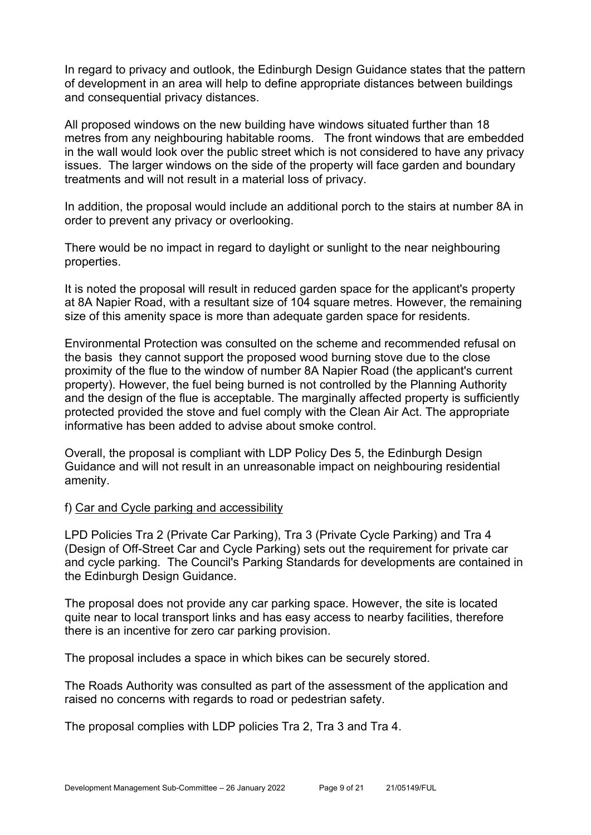In regard to privacy and outlook, the Edinburgh Design Guidance states that the pattern of development in an area will help to define appropriate distances between buildings and consequential privacy distances.

All proposed windows on the new building have windows situated further than 18 metres from any neighbouring habitable rooms. The front windows that are embedded in the wall would look over the public street which is not considered to have any privacy issues. The larger windows on the side of the property will face garden and boundary treatments and will not result in a material loss of privacy.

In addition, the proposal would include an additional porch to the stairs at number 8A in order to prevent any privacy or overlooking.

There would be no impact in regard to daylight or sunlight to the near neighbouring properties.

It is noted the proposal will result in reduced garden space for the applicant's property at 8A Napier Road, with a resultant size of 104 square metres. However, the remaining size of this amenity space is more than adequate garden space for residents.

Environmental Protection was consulted on the scheme and recommended refusal on the basis they cannot support the proposed wood burning stove due to the close proximity of the flue to the window of number 8A Napier Road (the applicant's current property). However, the fuel being burned is not controlled by the Planning Authority and the design of the flue is acceptable. The marginally affected property is sufficiently protected provided the stove and fuel comply with the Clean Air Act. The appropriate informative has been added to advise about smoke control.

Overall, the proposal is compliant with LDP Policy Des 5, the Edinburgh Design Guidance and will not result in an unreasonable impact on neighbouring residential amenity.

#### f) Car and Cycle parking and accessibility

LPD Policies Tra 2 (Private Car Parking), Tra 3 (Private Cycle Parking) and Tra 4 (Design of Off-Street Car and Cycle Parking) sets out the requirement for private car and cycle parking. The Council's Parking Standards for developments are contained in the Edinburgh Design Guidance.

The proposal does not provide any car parking space. However, the site is located quite near to local transport links and has easy access to nearby facilities, therefore there is an incentive for zero car parking provision.

The proposal includes a space in which bikes can be securely stored.

The Roads Authority was consulted as part of the assessment of the application and raised no concerns with regards to road or pedestrian safety.

The proposal complies with LDP policies Tra 2, Tra 3 and Tra 4.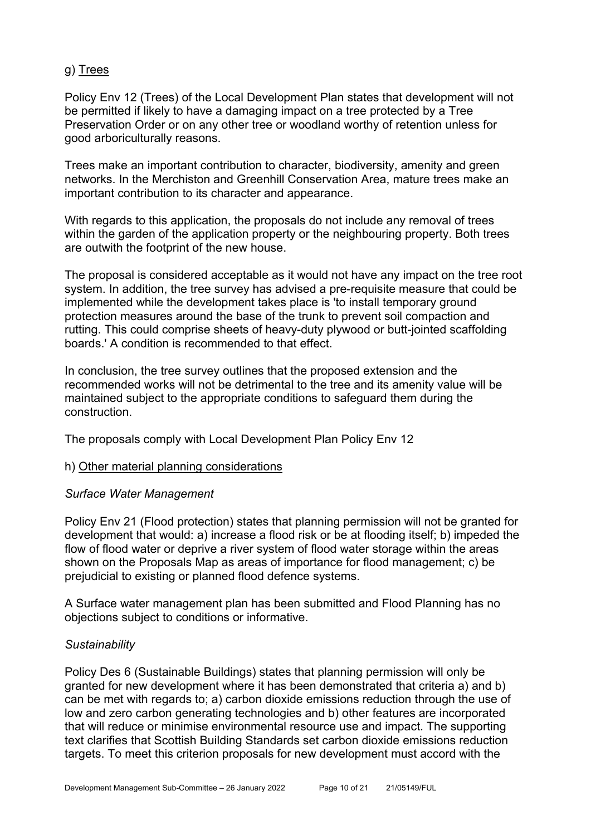# g) Trees

Policy Env 12 (Trees) of the Local Development Plan states that development will not be permitted if likely to have a damaging impact on a tree protected by a Tree Preservation Order or on any other tree or woodland worthy of retention unless for good arboriculturally reasons.

Trees make an important contribution to character, biodiversity, amenity and green networks. In the Merchiston and Greenhill Conservation Area, mature trees make an important contribution to its character and appearance.

With regards to this application, the proposals do not include any removal of trees within the garden of the application property or the neighbouring property. Both trees are outwith the footprint of the new house.

The proposal is considered acceptable as it would not have any impact on the tree root system. In addition, the tree survey has advised a pre-requisite measure that could be implemented while the development takes place is 'to install temporary ground protection measures around the base of the trunk to prevent soil compaction and rutting. This could comprise sheets of heavy-duty plywood or butt-jointed scaffolding boards.' A condition is recommended to that effect.

In conclusion, the tree survey outlines that the proposed extension and the recommended works will not be detrimental to the tree and its amenity value will be maintained subject to the appropriate conditions to safeguard them during the construction.

The proposals comply with Local Development Plan Policy Env 12

#### h) Other material planning considerations

#### *Surface Water Management*

Policy Env 21 (Flood protection) states that planning permission will not be granted for development that would: a) increase a flood risk or be at flooding itself; b) impeded the flow of flood water or deprive a river system of flood water storage within the areas shown on the Proposals Map as areas of importance for flood management; c) be prejudicial to existing or planned flood defence systems.

A Surface water management plan has been submitted and Flood Planning has no objections subject to conditions or informative.

#### *Sustainability*

Policy Des 6 (Sustainable Buildings) states that planning permission will only be granted for new development where it has been demonstrated that criteria a) and b) can be met with regards to; a) carbon dioxide emissions reduction through the use of low and zero carbon generating technologies and b) other features are incorporated that will reduce or minimise environmental resource use and impact. The supporting text clarifies that Scottish Building Standards set carbon dioxide emissions reduction targets. To meet this criterion proposals for new development must accord with the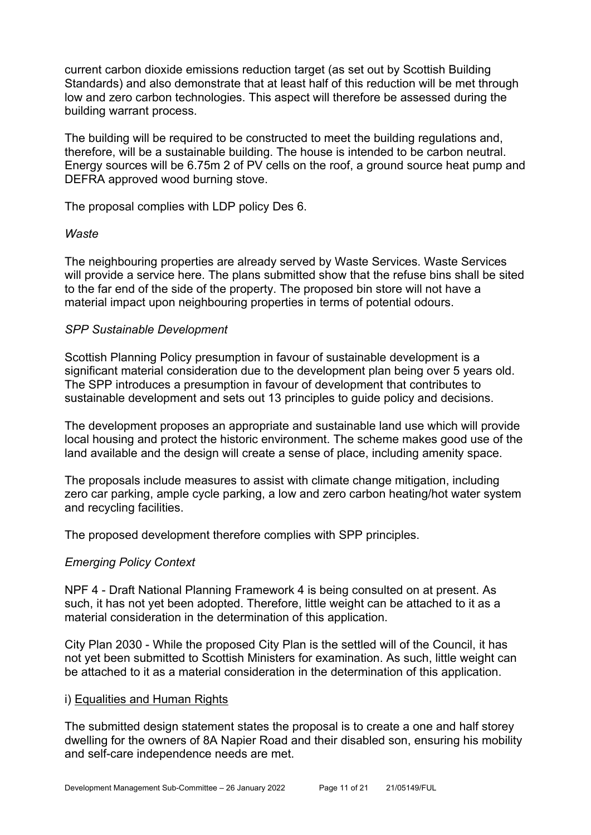current carbon dioxide emissions reduction target (as set out by Scottish Building Standards) and also demonstrate that at least half of this reduction will be met through low and zero carbon technologies. This aspect will therefore be assessed during the building warrant process.

The building will be required to be constructed to meet the building regulations and, therefore, will be a sustainable building. The house is intended to be carbon neutral. Energy sources will be 6.75m 2 of PV cells on the roof, a ground source heat pump and DEFRA approved wood burning stove.

The proposal complies with LDP policy Des 6.

#### *Waste*

The neighbouring properties are already served by Waste Services. Waste Services will provide a service here. The plans submitted show that the refuse bins shall be sited to the far end of the side of the property. The proposed bin store will not have a material impact upon neighbouring properties in terms of potential odours.

#### *SPP Sustainable Development*

Scottish Planning Policy presumption in favour of sustainable development is a significant material consideration due to the development plan being over 5 years old. The SPP introduces a presumption in favour of development that contributes to sustainable development and sets out 13 principles to guide policy and decisions.

The development proposes an appropriate and sustainable land use which will provide local housing and protect the historic environment. The scheme makes good use of the land available and the design will create a sense of place, including amenity space.

The proposals include measures to assist with climate change mitigation, including zero car parking, ample cycle parking, a low and zero carbon heating/hot water system and recycling facilities.

The proposed development therefore complies with SPP principles.

#### *Emerging Policy Context*

NPF 4 - Draft National Planning Framework 4 is being consulted on at present. As such, it has not yet been adopted. Therefore, little weight can be attached to it as a material consideration in the determination of this application.

City Plan 2030 - While the proposed City Plan is the settled will of the Council, it has not yet been submitted to Scottish Ministers for examination. As such, little weight can be attached to it as a material consideration in the determination of this application.

#### i) Equalities and Human Rights

The submitted design statement states the proposal is to create a one and half storey dwelling for the owners of 8A Napier Road and their disabled son, ensuring his mobility and self-care independence needs are met.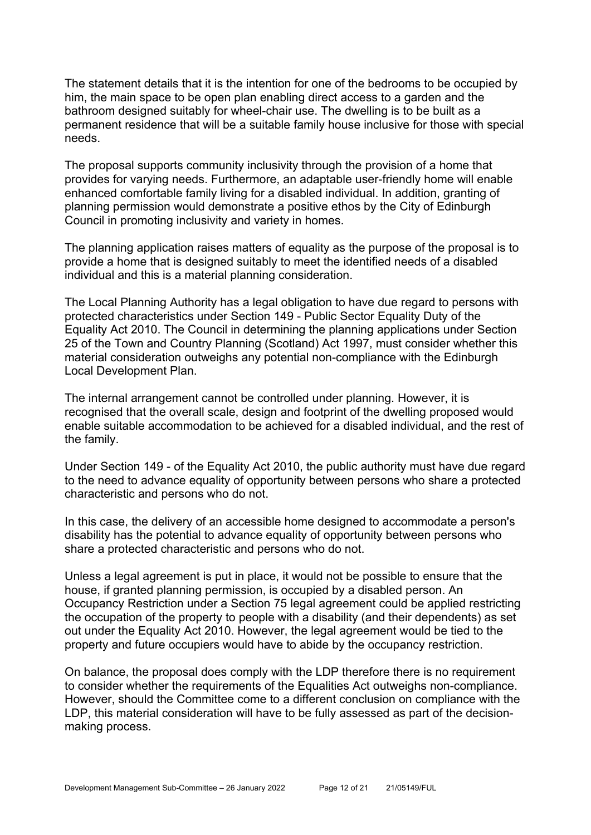The statement details that it is the intention for one of the bedrooms to be occupied by him, the main space to be open plan enabling direct access to a garden and the bathroom designed suitably for wheel-chair use. The dwelling is to be built as a permanent residence that will be a suitable family house inclusive for those with special needs.

The proposal supports community inclusivity through the provision of a home that provides for varying needs. Furthermore, an adaptable user-friendly home will enable enhanced comfortable family living for a disabled individual. In addition, granting of planning permission would demonstrate a positive ethos by the City of Edinburgh Council in promoting inclusivity and variety in homes.

The planning application raises matters of equality as the purpose of the proposal is to provide a home that is designed suitably to meet the identified needs of a disabled individual and this is a material planning consideration.

The Local Planning Authority has a legal obligation to have due regard to persons with protected characteristics under Section 149 - Public Sector Equality Duty of the Equality Act 2010. The Council in determining the planning applications under Section 25 of the Town and Country Planning (Scotland) Act 1997, must consider whether this material consideration outweighs any potential non-compliance with the Edinburgh Local Development Plan.

The internal arrangement cannot be controlled under planning. However, it is recognised that the overall scale, design and footprint of the dwelling proposed would enable suitable accommodation to be achieved for a disabled individual, and the rest of the family.

Under Section 149 - of the Equality Act 2010, the public authority must have due regard to the need to advance equality of opportunity between persons who share a protected characteristic and persons who do not.

In this case, the delivery of an accessible home designed to accommodate a person's disability has the potential to advance equality of opportunity between persons who share a protected characteristic and persons who do not.

Unless a legal agreement is put in place, it would not be possible to ensure that the house, if granted planning permission, is occupied by a disabled person. An Occupancy Restriction under a Section 75 legal agreement could be applied restricting the occupation of the property to people with a disability (and their dependents) as set out under the Equality Act 2010. However, the legal agreement would be tied to the property and future occupiers would have to abide by the occupancy restriction.

On balance, the proposal does comply with the LDP therefore there is no requirement to consider whether the requirements of the Equalities Act outweighs non-compliance. However, should the Committee come to a different conclusion on compliance with the LDP, this material consideration will have to be fully assessed as part of the decisionmaking process.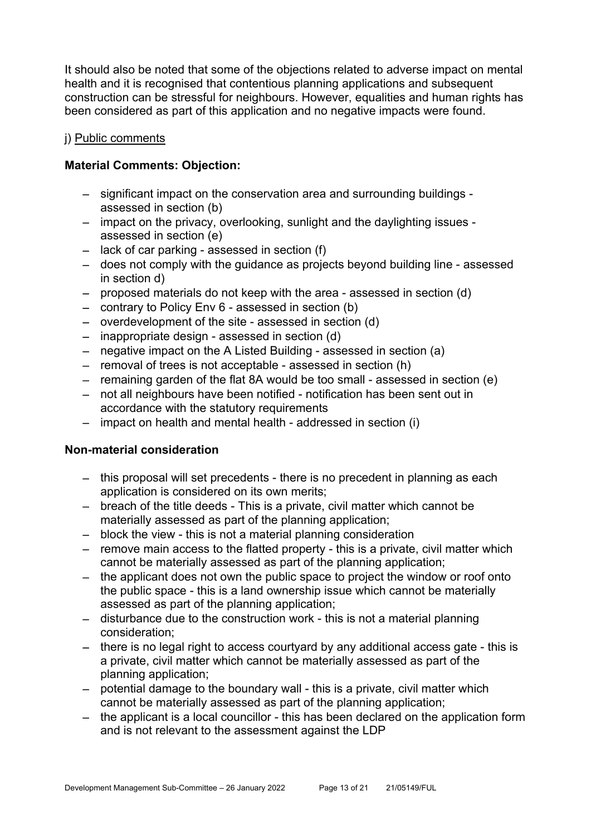It should also be noted that some of the objections related to adverse impact on mental health and it is recognised that contentious planning applications and subsequent construction can be stressful for neighbours. However, equalities and human rights has been considered as part of this application and no negative impacts were found.

#### j) Public comments

#### **Material Comments: Objection:**

- significant impact on the conservation area and surrounding buildings assessed in section (b)
- impact on the privacy, overlooking, sunlight and the daylighting issues assessed in section (e)
- lack of car parking assessed in section (f)
- does not comply with the guidance as projects beyond building line assessed in section d)
- proposed materials do not keep with the area assessed in section (d)
- contrary to Policy Env 6 assessed in section (b)
- overdevelopment of the site assessed in section (d)
- inappropriate design assessed in section (d)
- negative impact on the A Listed Building assessed in section (a)
- removal of trees is not acceptable assessed in section (h)
- remaining garden of the flat 8A would be too small assessed in section (e)
- not all neighbours have been notified notification has been sent out in accordance with the statutory requirements
- impact on health and mental health addressed in section (i)

#### **Non-material consideration**

- this proposal will set precedents there is no precedent in planning as each application is considered on its own merits;
- breach of the title deeds This is a private, civil matter which cannot be materially assessed as part of the planning application;
- block the view this is not a material planning consideration
- $-$  remove main access to the flatted property this is a private, civil matter which cannot be materially assessed as part of the planning application;
- the applicant does not own the public space to project the window or roof onto the public space - this is a land ownership issue which cannot be materially assessed as part of the planning application;
- disturbance due to the construction work this is not a material planning consideration;
- there is no legal right to access courtyard by any additional access gate this is a private, civil matter which cannot be materially assessed as part of the planning application;
- potential damage to the boundary wall this is a private, civil matter which cannot be materially assessed as part of the planning application;
- the applicant is a local councillor this has been declared on the application form and is not relevant to the assessment against the LDP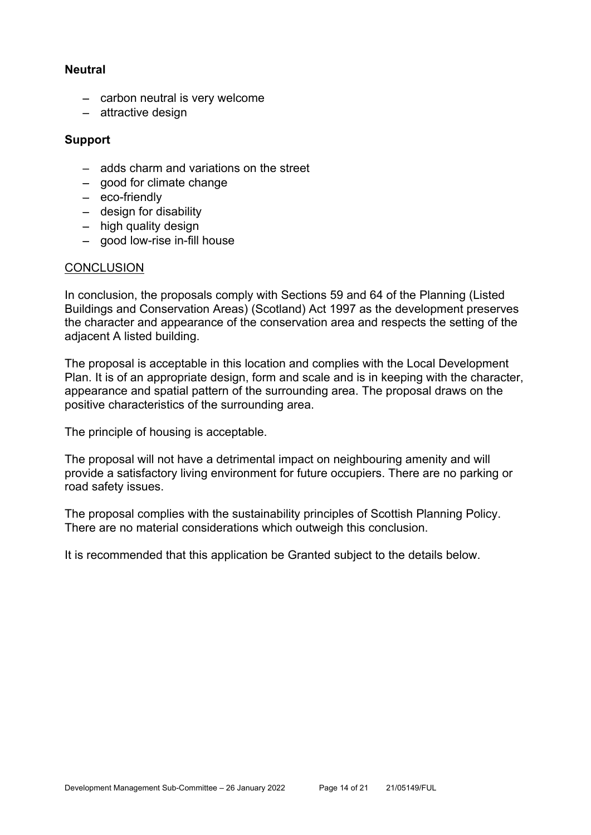#### **Neutral**

- carbon neutral is very welcome
- attractive design

#### **Support**

- adds charm and variations on the street
- good for climate change
- eco-friendly
- design for disability
- $-$  high quality design
- good low-rise in-fill house

#### **CONCLUSION**

In conclusion, the proposals comply with Sections 59 and 64 of the Planning (Listed Buildings and Conservation Areas) (Scotland) Act 1997 as the development preserves the character and appearance of the conservation area and respects the setting of the adjacent A listed building.

The proposal is acceptable in this location and complies with the Local Development Plan. It is of an appropriate design, form and scale and is in keeping with the character, appearance and spatial pattern of the surrounding area. The proposal draws on the positive characteristics of the surrounding area.

The principle of housing is acceptable.

The proposal will not have a detrimental impact on neighbouring amenity and will provide a satisfactory living environment for future occupiers. There are no parking or road safety issues.

The proposal complies with the sustainability principles of Scottish Planning Policy. There are no material considerations which outweigh this conclusion.

It is recommended that this application be Granted subject to the details below.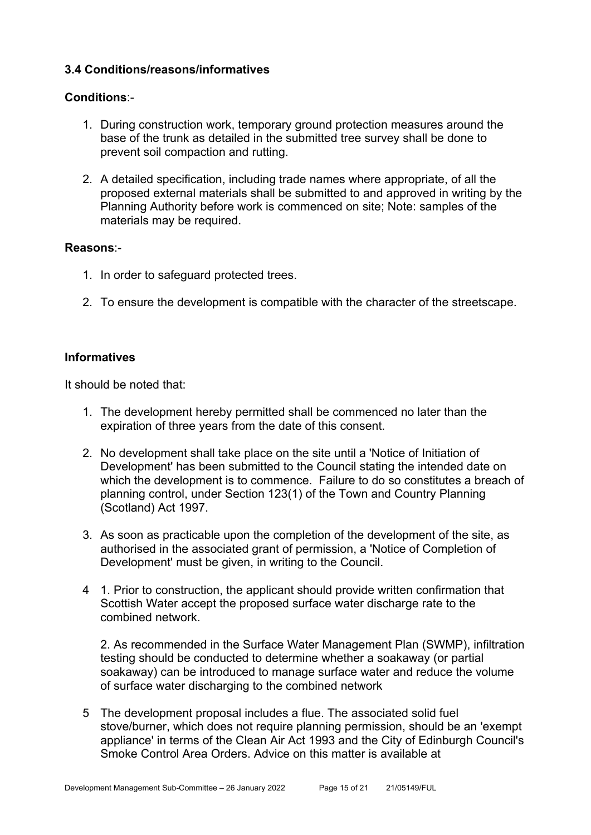# **3.4 Conditions/reasons/informatives**

#### **Conditions**:-

- 1. During construction work, temporary ground protection measures around the base of the trunk as detailed in the submitted tree survey shall be done to prevent soil compaction and rutting.
- 2. A detailed specification, including trade names where appropriate, of all the proposed external materials shall be submitted to and approved in writing by the Planning Authority before work is commenced on site; Note: samples of the materials may be required.

#### **Reasons**:-

- 1. In order to safeguard protected trees.
- 2. To ensure the development is compatible with the character of the streetscape.

#### **Informatives**

It should be noted that:

- 1. The development hereby permitted shall be commenced no later than the expiration of three years from the date of this consent.
- 2. No development shall take place on the site until a 'Notice of Initiation of Development' has been submitted to the Council stating the intended date on which the development is to commence. Failure to do so constitutes a breach of planning control, under Section 123(1) of the Town and Country Planning (Scotland) Act 1997.
- 3. As soon as practicable upon the completion of the development of the site, as authorised in the associated grant of permission, a 'Notice of Completion of Development' must be given, in writing to the Council.
- 4 1. Prior to construction, the applicant should provide written confirmation that Scottish Water accept the proposed surface water discharge rate to the combined network.

2. As recommended in the Surface Water Management Plan (SWMP), infiltration testing should be conducted to determine whether a soakaway (or partial soakaway) can be introduced to manage surface water and reduce the volume of surface water discharging to the combined network

5 The development proposal includes a flue. The associated solid fuel stove/burner, which does not require planning permission, should be an 'exempt appliance' in terms of the Clean Air Act 1993 and the City of Edinburgh Council's Smoke Control Area Orders. Advice on this matter is available at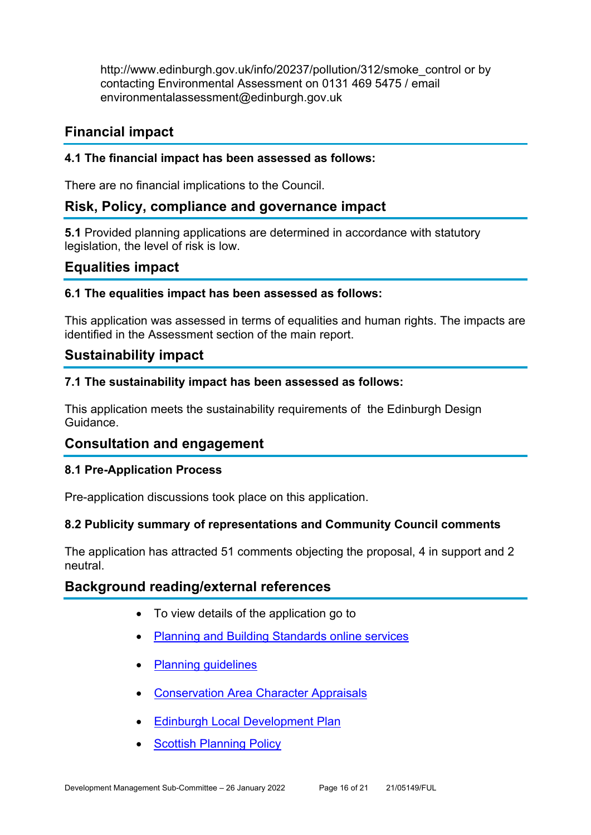http://www.edinburgh.gov.uk/info/20237/pollution/312/smoke\_control or by contacting Environmental Assessment on 0131 469 5475 / email environmentalassessment@edinburgh.gov.uk

# **Financial impact**

#### **4.1 The financial impact has been assessed as follows:**

There are no financial implications to the Council.

# **Risk, Policy, compliance and governance impact**

**5.1** Provided planning applications are determined in accordance with statutory legislation, the level of risk is low.

# **Equalities impact**

#### **6.1 The equalities impact has been assessed as follows:**

This application was assessed in terms of equalities and human rights. The impacts are identified in the Assessment section of the main report.

# **Sustainability impact**

#### **7.1 The sustainability impact has been assessed as follows:**

This application meets the sustainability requirements of the Edinburgh Design Guidance.

# **Consultation and engagement**

#### **8.1 Pre-Application Process**

Pre-application discussions took place on this application.

#### **8.2 Publicity summary of representations and Community Council comments**

The application has attracted 51 comments objecting the proposal, 4 in support and 2 neutral.

# **Background reading/external references**

- To view details of the application go to
- Planning and Building Standards online services
- Planning guidelines
- Conservation Area Character Appraisals
- Edinburgh Local Development Plan
- **Scottish Planning Policy**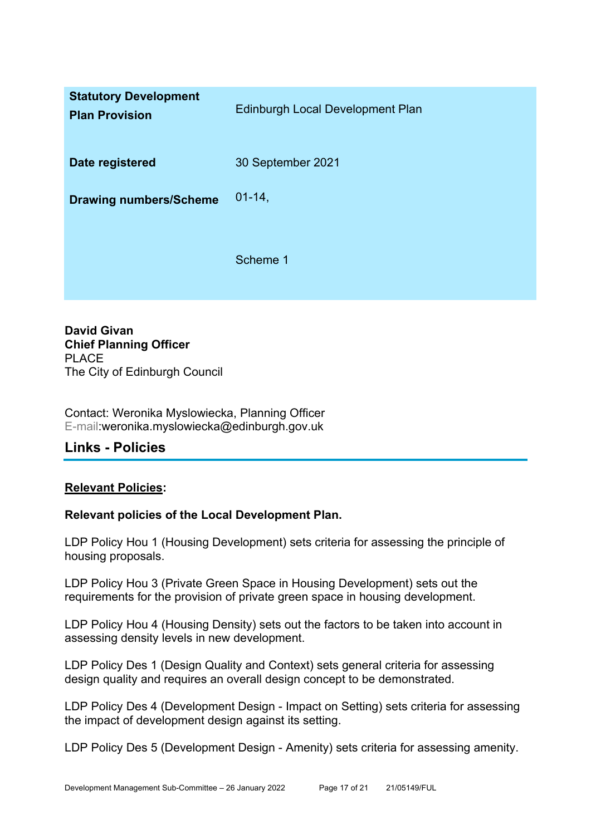| <b>Statutory Development</b><br><b>Plan Provision</b> | <b>Edinburgh Local Development Plan</b> |
|-------------------------------------------------------|-----------------------------------------|
| Date registered                                       | 30 September 2021                       |
| <b>Drawing numbers/Scheme</b>                         | $01 - 14$                               |
|                                                       | Scheme 1                                |

**David Givan Chief Planning Officer**  PLACE The City of Edinburgh Council

Contact: Weronika Myslowiecka, Planning Officer E-mail:weronika.myslowiecka@edinburgh.gov.uk

# **Links - Policies**

#### **Relevant Policies:**

#### **Relevant policies of the Local Development Plan.**

LDP Policy Hou 1 (Housing Development) sets criteria for assessing the principle of housing proposals.

LDP Policy Hou 3 (Private Green Space in Housing Development) sets out the requirements for the provision of private green space in housing development.

LDP Policy Hou 4 (Housing Density) sets out the factors to be taken into account in assessing density levels in new development.

LDP Policy Des 1 (Design Quality and Context) sets general criteria for assessing design quality and requires an overall design concept to be demonstrated.

LDP Policy Des 4 (Development Design - Impact on Setting) sets criteria for assessing the impact of development design against its setting.

LDP Policy Des 5 (Development Design - Amenity) sets criteria for assessing amenity.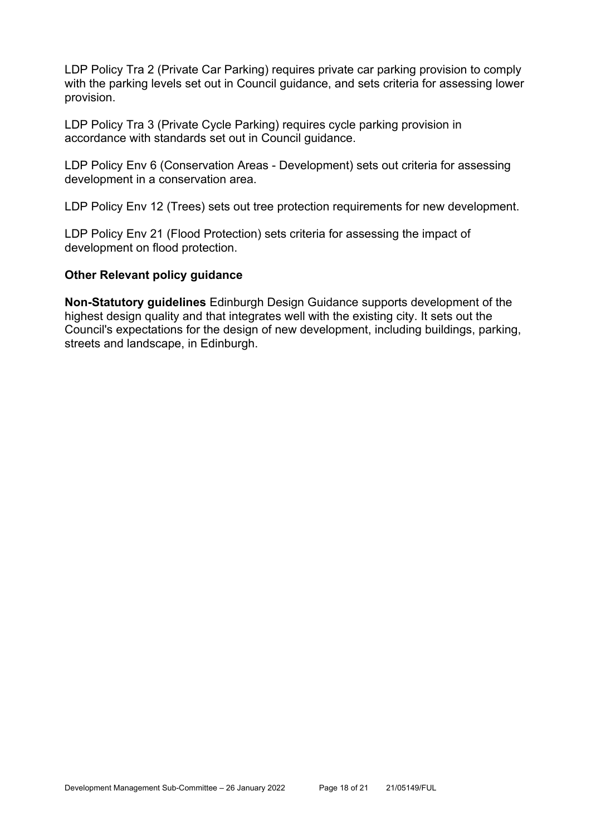LDP Policy Tra 2 (Private Car Parking) requires private car parking provision to comply with the parking levels set out in Council guidance, and sets criteria for assessing lower provision.

LDP Policy Tra 3 (Private Cycle Parking) requires cycle parking provision in accordance with standards set out in Council guidance.

LDP Policy Env 6 (Conservation Areas - Development) sets out criteria for assessing development in a conservation area.

LDP Policy Env 12 (Trees) sets out tree protection requirements for new development.

LDP Policy Env 21 (Flood Protection) sets criteria for assessing the impact of development on flood protection.

#### **Other Relevant policy guidance**

**Non-Statutory guidelines** Edinburgh Design Guidance supports development of the highest design quality and that integrates well with the existing city. It sets out the Council's expectations for the design of new development, including buildings, parking, streets and landscape, in Edinburgh.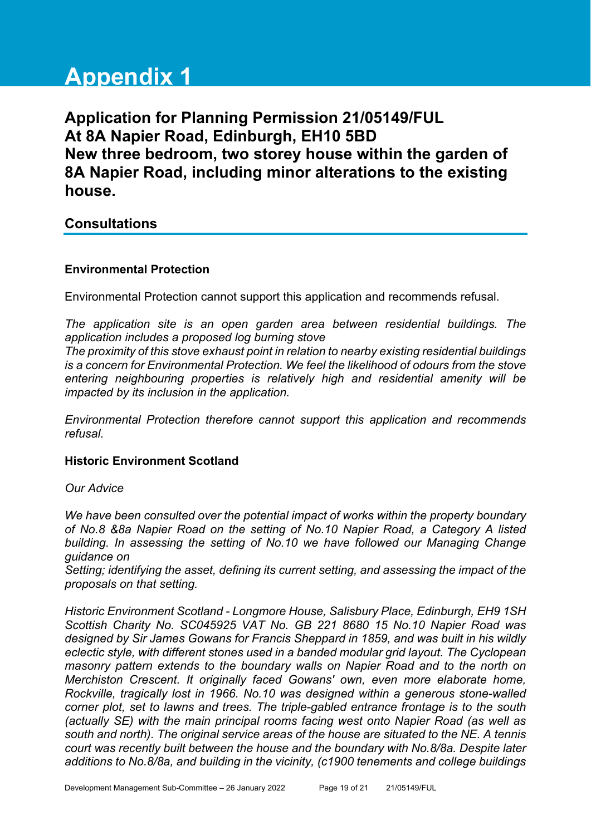# **Appendix 1**

**Application for Planning Permission 21/05149/FUL At 8A Napier Road, Edinburgh, EH10 5BD New three bedroom, two storey house within the garden of 8A Napier Road, including minor alterations to the existing house.** 

# **Consultations**

# **Environmental Protection**

Environmental Protection cannot support this application and recommends refusal.

*The application site is an open garden area between residential buildings. The application includes a proposed log burning stove* 

*The proximity of this stove exhaust point in relation to nearby existing residential buildings is a concern for Environmental Protection. We feel the likelihood of odours from the stove entering neighbouring properties is relatively high and residential amenity will be impacted by its inclusion in the application.* 

*Environmental Protection therefore cannot support this application and recommends refusal.*

# **Historic Environment Scotland**

*Our Advice* 

*We have been consulted over the potential impact of works within the property boundary of No.8 &8a Napier Road on the setting of No.10 Napier Road, a Category A listed building. In assessing the setting of No.10 we have followed our Managing Change guidance on* 

*Setting; identifying the asset, defining its current setting, and assessing the impact of the proposals on that setting.* 

*Historic Environment Scotland - Longmore House, Salisbury Place, Edinburgh, EH9 1SH Scottish Charity No. SC045925 VAT No. GB 221 8680 15 No.10 Napier Road was designed by Sir James Gowans for Francis Sheppard in 1859, and was built in his wildly eclectic style, with different stones used in a banded modular grid layout. The Cyclopean masonry pattern extends to the boundary walls on Napier Road and to the north on Merchiston Crescent. It originally faced Gowans' own, even more elaborate home, Rockville, tragically lost in 1966. No.10 was designed within a generous stone-walled corner plot, set to lawns and trees. The triple-gabled entrance frontage is to the south (actually SE) with the main principal rooms facing west onto Napier Road (as well as south and north). The original service areas of the house are situated to the NE. A tennis court was recently built between the house and the boundary with No.8/8a. Despite later additions to No.8/8a, and building in the vicinity, (c1900 tenements and college buildings*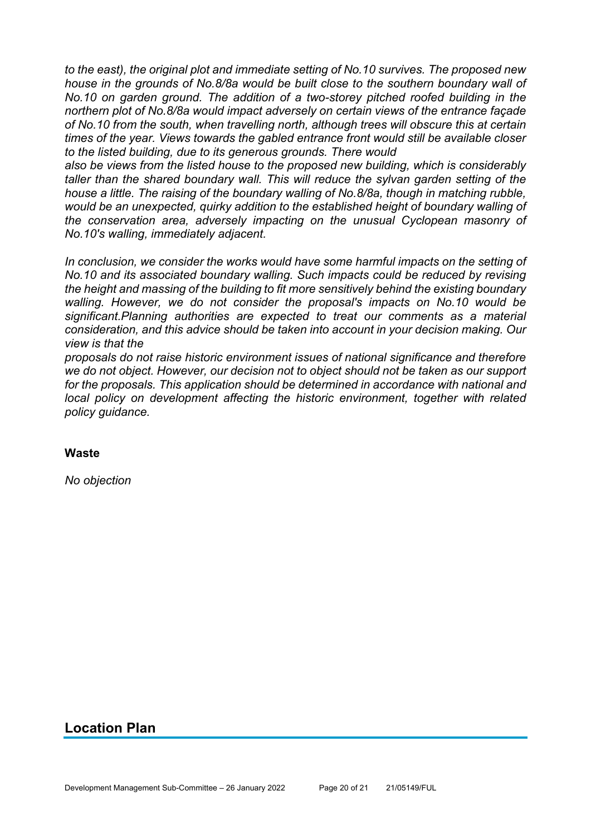*to the east), the original plot and immediate setting of No.10 survives. The proposed new house in the grounds of No.8/8a would be built close to the southern boundary wall of No.10 on garden ground. The addition of a two-storey pitched roofed building in the northern plot of No.8/8a would impact adversely on certain views of the entrance façade of No.10 from the south, when travelling north, although trees will obscure this at certain times of the year. Views towards the gabled entrance front would still be available closer to the listed building, due to its generous grounds. There would* 

*also be views from the listed house to the proposed new building, which is considerably taller than the shared boundary wall. This will reduce the sylvan garden setting of the house a little. The raising of the boundary walling of No.8/8a, though in matching rubble, would be an unexpected, quirky addition to the established height of boundary walling of the conservation area, adversely impacting on the unusual Cyclopean masonry of No.10's walling, immediately adjacent.* 

In conclusion, we consider the works would have some harmful impacts on the setting of *No.10 and its associated boundary walling. Such impacts could be reduced by revising the height and massing of the building to fit more sensitively behind the existing boundary walling. However, we do not consider the proposal's impacts on No.10 would be significant.Planning authorities are expected to treat our comments as a material consideration, and this advice should be taken into account in your decision making. Our view is that the* 

*proposals do not raise historic environment issues of national significance and therefore we do not object. However, our decision not to object should not be taken as our support for the proposals. This application should be determined in accordance with national and local policy on development affecting the historic environment, together with related policy guidance.*

#### **Waste**

*No objection*

# **Location Plan**